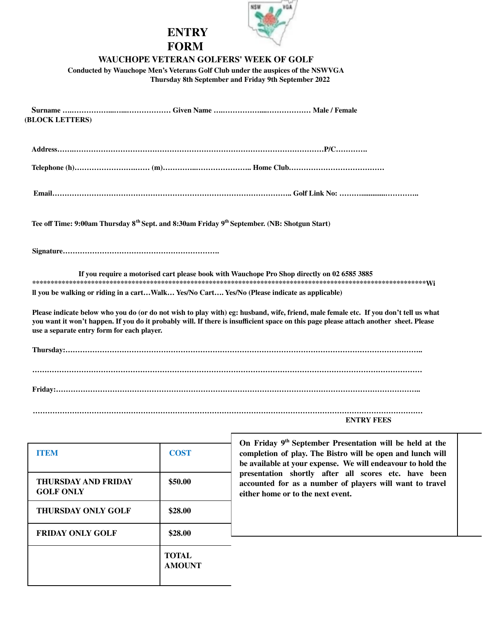

## **ENTRY FORM**

## **WAUCHOPE VETERAN GOLFERS' WEEK OF GOLF**

**Conducted by Wauchope Men's Veterans Golf Club under the auspices of the NSWVGA Thursday 8th September and Friday 9th September 2022**

| (BLOCK LETTERS)                            |                                                                                                                                                                                                                                                                               |
|--------------------------------------------|-------------------------------------------------------------------------------------------------------------------------------------------------------------------------------------------------------------------------------------------------------------------------------|
|                                            |                                                                                                                                                                                                                                                                               |
|                                            |                                                                                                                                                                                                                                                                               |
|                                            |                                                                                                                                                                                                                                                                               |
|                                            | Tee off Time: 9:00am Thursday 8 <sup>th</sup> Sept. and 8:30am Friday 9 <sup>th</sup> September. (NB: Shotgun Start)                                                                                                                                                          |
|                                            |                                                                                                                                                                                                                                                                               |
|                                            | If you require a motorised cart please book with Wauchope Pro Shop directly on 02 6585 3885                                                                                                                                                                                   |
|                                            | Il you be walking or riding in a cartWalk Yes/No Cart Yes/No (Please indicate as applicable)                                                                                                                                                                                  |
| use a separate entry form for each player. | Please indicate below who you do (or do not wish to play with) eg: husband, wife, friend, male female etc. If you don't tell us what<br>you want it won't happen. If you do it probably will. If there is insufficient space on this page please attach another sheet. Please |
|                                            |                                                                                                                                                                                                                                                                               |
|                                            |                                                                                                                                                                                                                                                                               |
|                                            |                                                                                                                                                                                                                                                                               |
|                                            | <b>ENTRY FEES</b>                                                                                                                                                                                                                                                             |
| <b>TIDENA</b>                              | On Friday 9 <sup>th</sup> September Presentation will be held at the<br>$\Omega$ $\Omega$ $\Omega$<br>$\mathbf{r}$ and $\mathbf{r}$                                                                                                                                           |

| <b>ITEM</b>                             | <b>COST</b>                   | On Friday 9 <sup>th</sup> September Presentation will be held at the<br>completion of play. The Bistro will be open and lunch will<br>be available at your expense. We will endeavour to hold the<br>presentation shortly after all scores etc. have been<br>accounted for as a number of players will want to travel<br>either home or to the next event. |
|-----------------------------------------|-------------------------------|------------------------------------------------------------------------------------------------------------------------------------------------------------------------------------------------------------------------------------------------------------------------------------------------------------------------------------------------------------|
| THURSDAY AND FRIDAY<br><b>GOLF ONLY</b> | \$50.00                       |                                                                                                                                                                                                                                                                                                                                                            |
| <b>THURSDAY ONLY GOLF</b>               | \$28.00                       |                                                                                                                                                                                                                                                                                                                                                            |
| <b>FRIDAY ONLY GOLF</b>                 | \$28.00                       |                                                                                                                                                                                                                                                                                                                                                            |
|                                         | <b>TOTAL</b><br><b>AMOUNT</b> |                                                                                                                                                                                                                                                                                                                                                            |

 $\mathbf{I}$